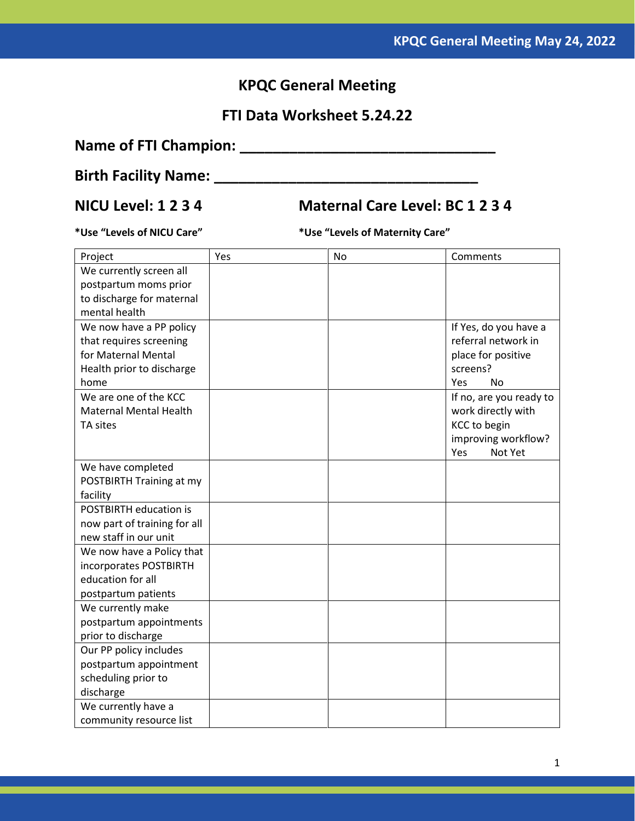## **KPQC General Meeting**

## **FTI Data Worksheet 5.24.22**

# **Name of FTI Champion: \_\_\_\_\_\_\_\_\_\_\_\_\_\_\_\_\_\_\_\_\_\_\_\_\_\_\_\_\_\_\_**

# **Birth Facility Name: \_\_\_\_\_\_\_\_\_\_\_\_\_\_\_\_\_\_\_\_\_\_\_\_\_\_\_\_\_\_\_\_**

## **NICU Level: 1 2 3 4 Maternal Care Level: BC 1 2 3 4**

**\*Use "Levels of NICU Care" \*Use "Levels of Maternity Care"**

| Project                       | Yes | <b>No</b> | Comments                |
|-------------------------------|-----|-----------|-------------------------|
| We currently screen all       |     |           |                         |
| postpartum moms prior         |     |           |                         |
| to discharge for maternal     |     |           |                         |
| mental health                 |     |           |                         |
| We now have a PP policy       |     |           | If Yes, do you have a   |
| that requires screening       |     |           | referral network in     |
| for Maternal Mental           |     |           | place for positive      |
| Health prior to discharge     |     |           | screens?                |
| home                          |     |           | Yes<br>No               |
| We are one of the KCC         |     |           | If no, are you ready to |
| <b>Maternal Mental Health</b> |     |           | work directly with      |
| TA sites                      |     |           | <b>KCC to begin</b>     |
|                               |     |           | improving workflow?     |
|                               |     |           | Not Yet<br>Yes          |
| We have completed             |     |           |                         |
| POSTBIRTH Training at my      |     |           |                         |
| facility                      |     |           |                         |
| POSTBIRTH education is        |     |           |                         |
| now part of training for all  |     |           |                         |
| new staff in our unit         |     |           |                         |
| We now have a Policy that     |     |           |                         |
| incorporates POSTBIRTH        |     |           |                         |
| education for all             |     |           |                         |
| postpartum patients           |     |           |                         |
| We currently make             |     |           |                         |
| postpartum appointments       |     |           |                         |
| prior to discharge            |     |           |                         |
| Our PP policy includes        |     |           |                         |
| postpartum appointment        |     |           |                         |
| scheduling prior to           |     |           |                         |
| discharge                     |     |           |                         |
| We currently have a           |     |           |                         |
| community resource list       |     |           |                         |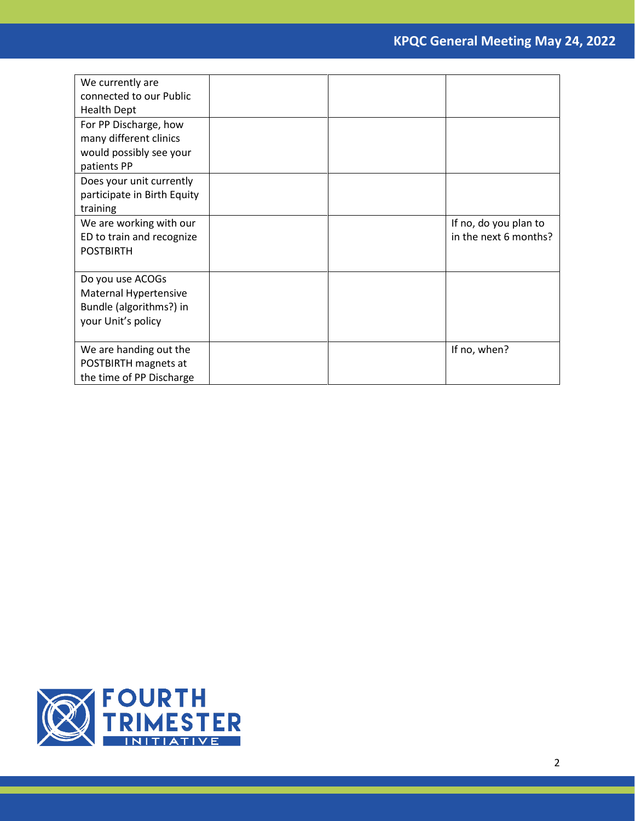| We currently are            |  |                       |
|-----------------------------|--|-----------------------|
| connected to our Public     |  |                       |
| <b>Health Dept</b>          |  |                       |
| For PP Discharge, how       |  |                       |
| many different clinics      |  |                       |
| would possibly see your     |  |                       |
| patients PP                 |  |                       |
| Does your unit currently    |  |                       |
| participate in Birth Equity |  |                       |
| training                    |  |                       |
| We are working with our     |  | If no, do you plan to |
| ED to train and recognize   |  | in the next 6 months? |
| <b>POSTBIRTH</b>            |  |                       |
|                             |  |                       |
| Do you use ACOGs            |  |                       |
| Maternal Hypertensive       |  |                       |
| Bundle (algorithms?) in     |  |                       |
| your Unit's policy          |  |                       |
|                             |  |                       |
| We are handing out the      |  | If no, when?          |
| POSTBIRTH magnets at        |  |                       |
| the time of PP Discharge    |  |                       |

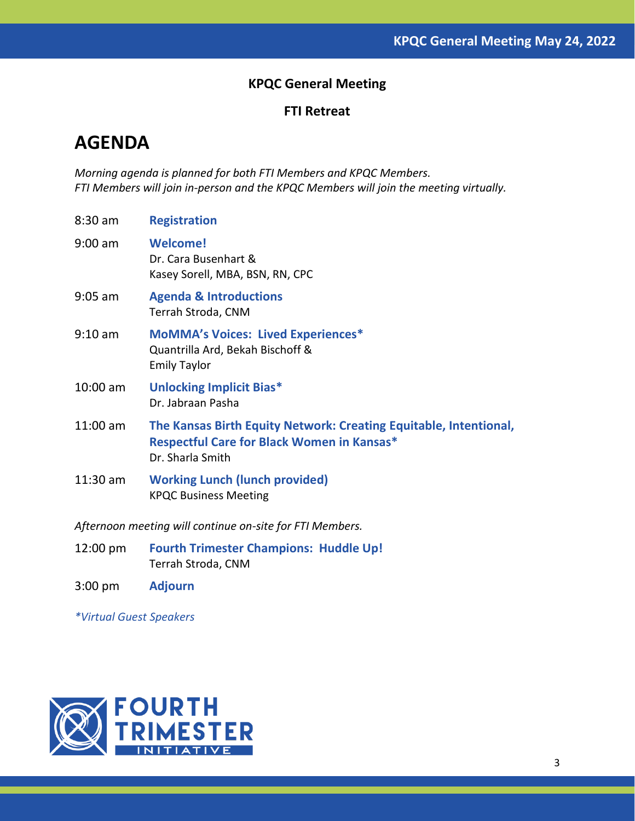### **KPQC General Meeting**

#### **FTI Retreat**

# **AGENDA**

*Morning agenda is planned for both FTI Members and KPQC Members. FTI Members will join in-person and the KPQC Members will join the meeting virtually.* 

| 8:30 am    | <b>Registration</b>                                                                                                                        |
|------------|--------------------------------------------------------------------------------------------------------------------------------------------|
| 9:00 am    | <b>Welcome!</b><br>Dr. Cara Busenhart &<br>Kasey Sorell, MBA, BSN, RN, CPC                                                                 |
| 9:05 am    | <b>Agenda &amp; Introductions</b><br>Terrah Stroda, CNM                                                                                    |
| $9:10$ am  | <b>MoMMA's Voices: Lived Experiences*</b><br>Quantrilla Ard, Bekah Bischoff &<br><b>Emily Taylor</b>                                       |
| $10:00$ am | <b>Unlocking Implicit Bias*</b><br>Dr. Jabraan Pasha                                                                                       |
| $11:00$ am | The Kansas Birth Equity Network: Creating Equitable, Intentional,<br><b>Respectful Care for Black Women in Kansas*</b><br>Dr. Sharla Smith |
| $11:30$ am | <b>Working Lunch (lunch provided)</b><br><b>KPQC Business Meeting</b>                                                                      |

*Afternoon meeting will continue on-site for FTI Members.* 

- 12:00 pm **Fourth Trimester Champions: Huddle Up!** Terrah Stroda, CNM
- 3:00 pm **Adjourn**

*\*Virtual Guest Speakers*

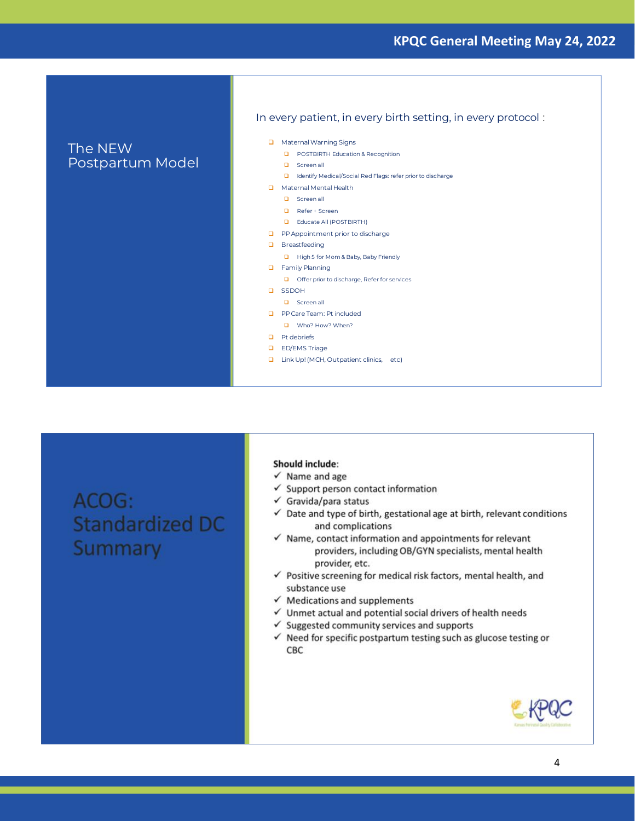#### **KPQC General Meeting May 24, 2022**

#### The NEW Postpartum Model

#### In every patient, in every birth setting, in every protocol:

- Maternal Warning Signs
	- D POSTBIRTH Education & Recognition
	- **Q** Screen all
	- **Q** Identify Medical/Social Red Flags: refer prior to discharge
- $\Box$  Maternal Mental Health
- $\Box$  Screen all
	- $\Box$  Refer + Screen
	- **Q** Educate All (POSTBIRTH)
- PP Appointment prior to discharge
- $\Box$  Breastfeeding
	- High 5 for Mom & Baby, Baby Friendly
- Family Planning
	- Offer prior to discharge, Refer for services
- **Q** SSDOH
- **Q** Screen all
- **D** PP Care Team: Pt included
- Who? How? When?
- $\Box$  Pt debriefs
- **Q** ED/EMS Triage
- □ Link Up! (MCH, Outpatient clinics, etc)

ACOG: **Standardized DC** Summary

#### **Should include:**

- $\checkmark$  Name and age
- $\checkmark$  Support person contact information
- $\checkmark$  Gravida/para status
- $\checkmark$  Date and type of birth, gestational age at birth, relevant conditions and complications
- $\checkmark$  Name, contact information and appointments for relevant providers, including OB/GYN specialists, mental health provider, etc.
- √ Positive screening for medical risk factors, mental health, and substance use
- $\checkmark$  Medications and supplements
- $\checkmark$  Unmet actual and potential social drivers of health needs
- $\checkmark$  Suggested community services and supports
- $\checkmark$  Need for specific postpartum testing such as glucose testing or СВС

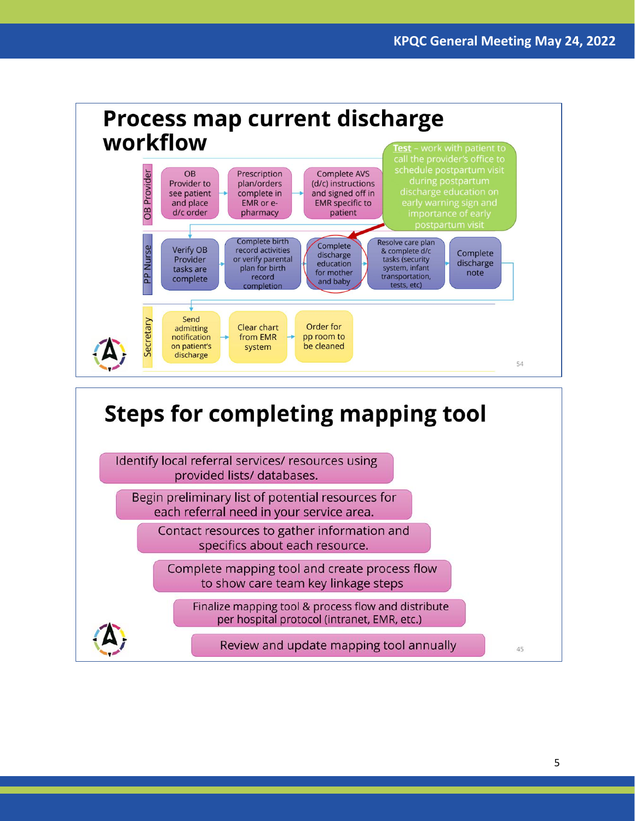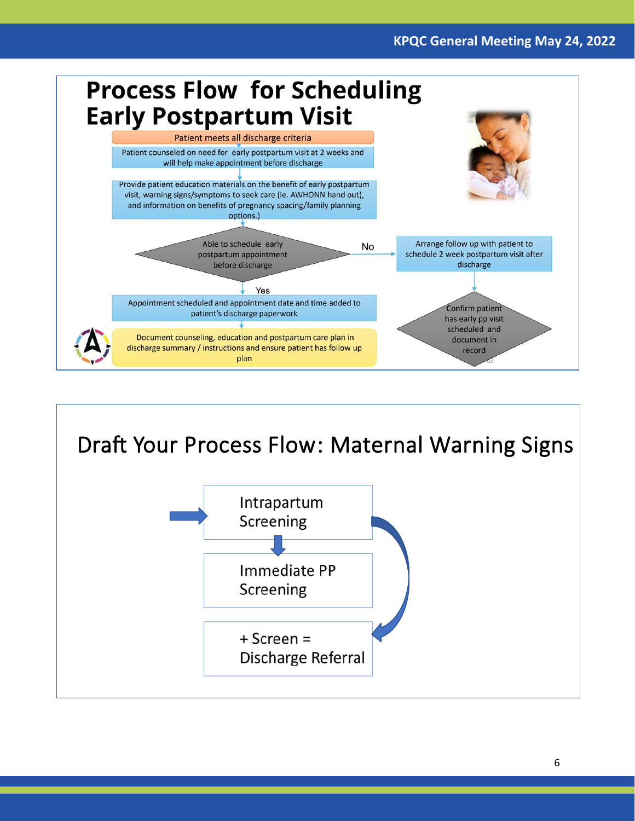



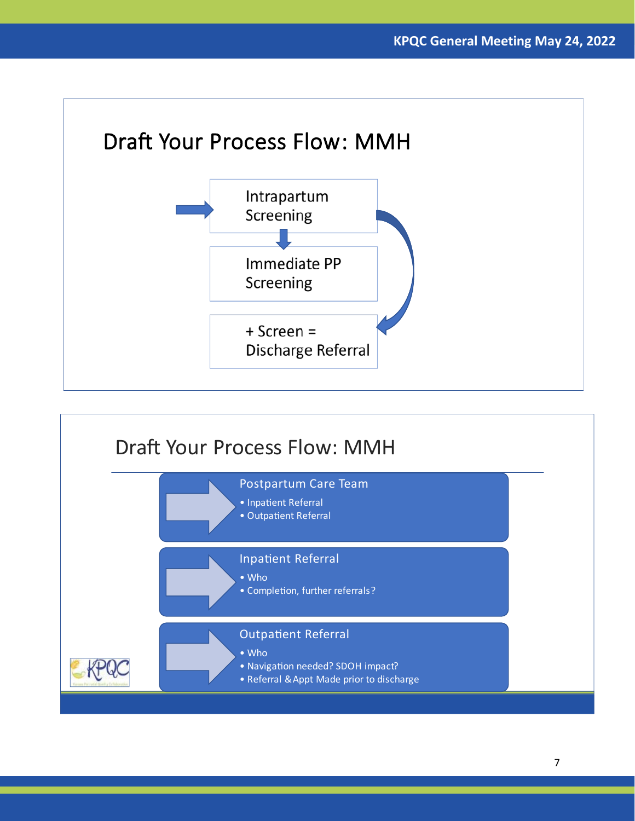

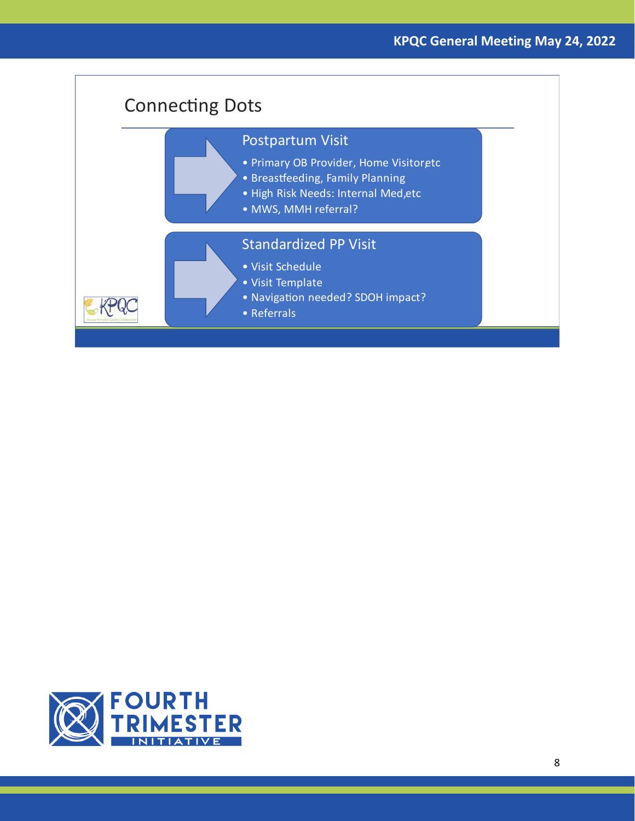

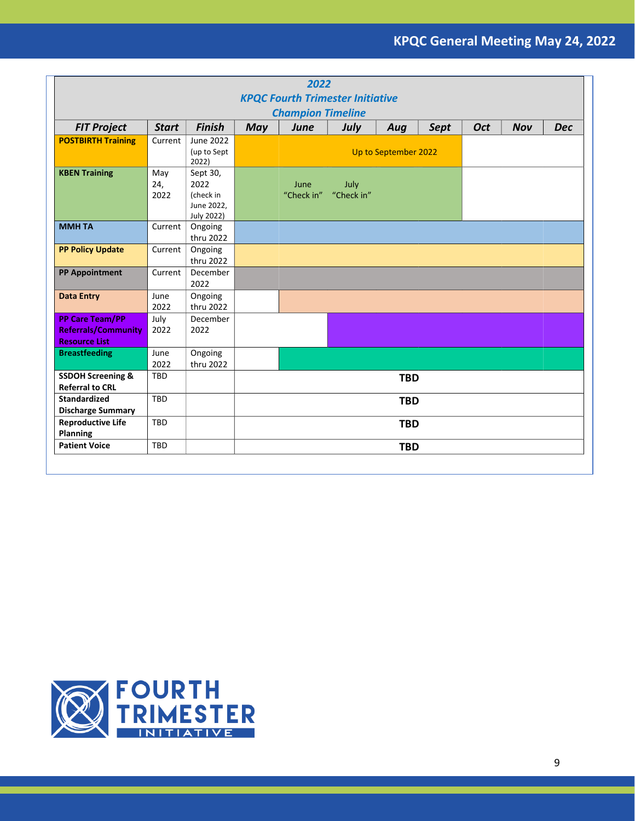| 2022                                                                         |                    |                                                                  |            |                    |                    |                      |             |            |            |            |
|------------------------------------------------------------------------------|--------------------|------------------------------------------------------------------|------------|--------------------|--------------------|----------------------|-------------|------------|------------|------------|
| <b>KPQC Fourth Trimester Initiative</b>                                      |                    |                                                                  |            |                    |                    |                      |             |            |            |            |
| <b>Champion Timeline</b>                                                     |                    |                                                                  |            |                    |                    |                      |             |            |            |            |
| <b>FIT Project</b>                                                           | <b>Start</b>       | <b>Finish</b>                                                    | <b>May</b> | <b>June</b>        | July               | Aug                  | <b>Sept</b> | <b>Oct</b> | <b>Nov</b> | <b>Dec</b> |
| <b>POSTBIRTH Training</b>                                                    | Current            | June 2022<br>(up to Sept<br>2022)                                |            |                    |                    | Up to September 2022 |             |            |            |            |
| <b>KBEN Training</b>                                                         | May<br>24,<br>2022 | Sept 30,<br>2022<br>(check in<br>June 2022,<br><b>July 2022)</b> |            | June<br>"Check in" | July<br>"Check in" |                      |             |            |            |            |
| <b>MMHTA</b>                                                                 | Current            | Ongoing<br>thru 2022                                             |            |                    |                    |                      |             |            |            |            |
| <b>PP Policy Update</b>                                                      | Current            | Ongoing<br>thru 2022                                             |            |                    |                    |                      |             |            |            |            |
| <b>PP Appointment</b>                                                        | Current            | December<br>2022                                                 |            |                    |                    |                      |             |            |            |            |
| <b>Data Entry</b>                                                            | June<br>2022       | Ongoing<br>thru 2022                                             |            |                    |                    |                      |             |            |            |            |
| <b>PP Care Team/PP</b><br><b>Referrals/Community</b><br><b>Resource List</b> | July<br>2022       | December<br>2022                                                 |            |                    |                    |                      |             |            |            |            |
| <b>Breastfeeding</b>                                                         | June<br>2022       | Ongoing<br>thru 2022                                             |            |                    |                    |                      |             |            |            |            |
| <b>SSDOH Screening &amp;</b><br><b>Referral to CRL</b>                       | TBD                |                                                                  |            |                    |                    | <b>TBD</b>           |             |            |            |            |
| <b>Standardized</b><br><b>Discharge Summary</b>                              | <b>TBD</b>         |                                                                  |            |                    |                    | <b>TBD</b>           |             |            |            |            |
| <b>Reproductive Life</b><br>Planning                                         | <b>TBD</b>         |                                                                  |            |                    |                    | <b>TBD</b>           |             |            |            |            |
| <b>Patient Voice</b>                                                         | <b>TBD</b>         |                                                                  |            |                    |                    | <b>TBD</b>           |             |            |            |            |

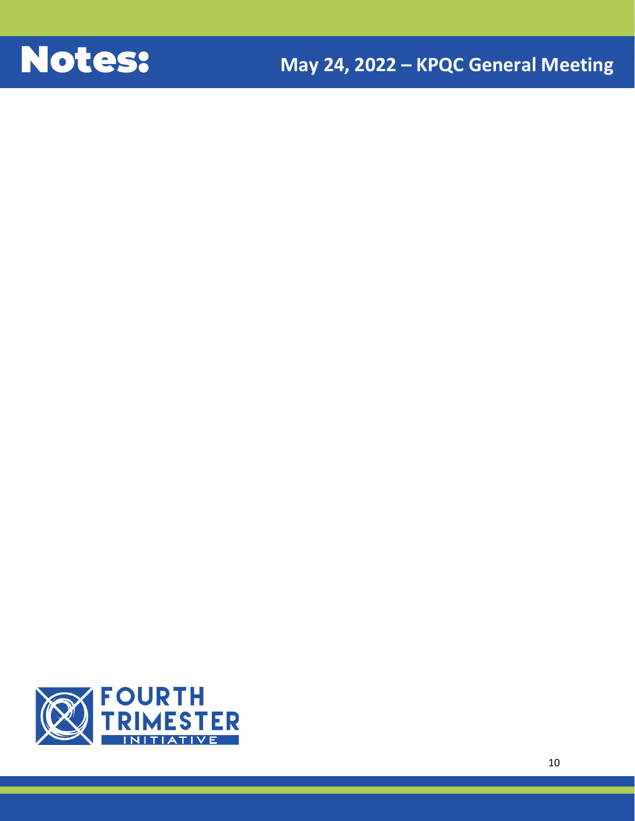

**KPQC General Meeting May 24, 2022**